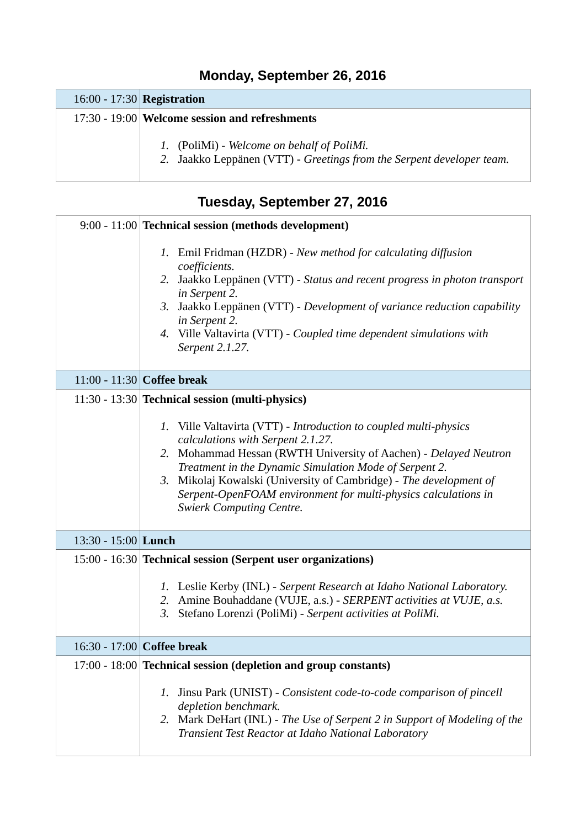## **Monday, September 26, 2016**

## 16:00 - 17:30 **Registration**

## 17:30 - 19:00 **Welcome session and refreshments**

- *1.* (PoliMi) *Welcome on behalf of PoliMi.*
- *2.* Jaakko Leppänen (VTT) *Greetings from the Serpent developer team.*

| Tuesday, September 27, 2016 |                                                                                                                                                                                                                                                                                                                                                                                                                                                                    |  |
|-----------------------------|--------------------------------------------------------------------------------------------------------------------------------------------------------------------------------------------------------------------------------------------------------------------------------------------------------------------------------------------------------------------------------------------------------------------------------------------------------------------|--|
|                             | 9:00 - 11:00 Technical session (methods development)                                                                                                                                                                                                                                                                                                                                                                                                               |  |
|                             | 1. Emil Fridman (HZDR) - New method for calculating diffusion<br>coefficients.<br>2. Jaakko Leppänen (VTT) - Status and recent progress in photon transport<br>in Serpent 2.<br>3. Jaakko Leppänen (VTT) - Development of variance reduction capability<br>in Serpent 2.<br>4. Ville Valtavirta (VTT) - Coupled time dependent simulations with<br>Serpent 2.1.27.                                                                                                 |  |
|                             | 11:00 - 11:30 Coffee break                                                                                                                                                                                                                                                                                                                                                                                                                                         |  |
|                             | 11:30 - 13:30 Technical session (multi-physics)<br>1. Ville Valtavirta (VTT) - Introduction to coupled multi-physics<br>calculations with Serpent 2.1.27.<br>2. Mohammad Hessan (RWTH University of Aachen) - Delayed Neutron<br>Treatment in the Dynamic Simulation Mode of Serpent 2.<br>3. Mikolaj Kowalski (University of Cambridge) - The development of<br>Serpent-OpenFOAM environment for multi-physics calculations in<br><b>Swierk Computing Centre.</b> |  |
| 13:30 - 15:00 Lunch         |                                                                                                                                                                                                                                                                                                                                                                                                                                                                    |  |
|                             | 15:00 - 16:30 Technical session (Serpent user organizations)<br>1. Leslie Kerby (INL) - Serpent Research at Idaho National Laboratory.<br>2. Amine Bouhaddane (VUJE, a.s.) - SERPENT activities at VUJE, a.s.<br>Stefano Lorenzi (PoliMi) - Serpent activities at PoliMi.<br>3.                                                                                                                                                                                    |  |
|                             | 16:30 - 17:00 Coffee break                                                                                                                                                                                                                                                                                                                                                                                                                                         |  |
|                             | 17:00 - 18:00 Technical session (depletion and group constants)<br>Jinsu Park (UNIST) - Consistent code-to-code comparison of pincell<br>1.<br>depletion benchmark.<br>2. Mark DeHart (INL) - The Use of Serpent 2 in Support of Modeling of the<br>Transient Test Reactor at Idaho National Laboratory                                                                                                                                                            |  |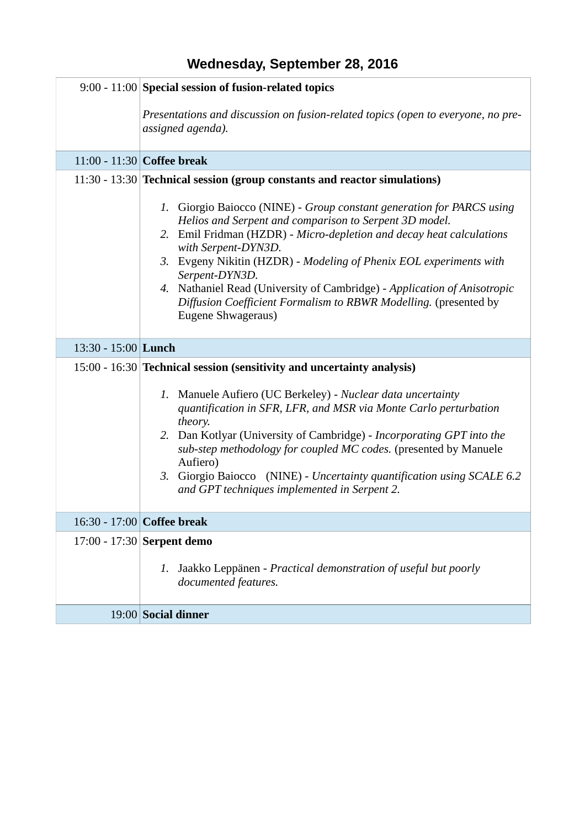|                     | 9:00 - 11:00 Special session of fusion-related topics                                                                                                                                                                                                                                                                                                                                                                                                                                        |
|---------------------|----------------------------------------------------------------------------------------------------------------------------------------------------------------------------------------------------------------------------------------------------------------------------------------------------------------------------------------------------------------------------------------------------------------------------------------------------------------------------------------------|
|                     | Presentations and discussion on fusion-related topics (open to everyone, no pre-<br>assigned agenda).                                                                                                                                                                                                                                                                                                                                                                                        |
|                     | 11:00 - 11:30 Coffee break                                                                                                                                                                                                                                                                                                                                                                                                                                                                   |
|                     | 11:30 - 13:30 Technical session (group constants and reactor simulations)                                                                                                                                                                                                                                                                                                                                                                                                                    |
|                     | 1. Giorgio Baiocco (NINE) - Group constant generation for PARCS using<br>Helios and Serpent and comparison to Serpent 3D model.<br>2. Emil Fridman (HZDR) - Micro-depletion and decay heat calculations<br>with Serpent-DYN3D.<br>3. Evgeny Nikitin (HZDR) - Modeling of Phenix EOL experiments with<br>Serpent-DYN3D.<br>4. Nathaniel Read (University of Cambridge) - Application of Anisotropic<br>Diffusion Coefficient Formalism to RBWR Modelling. (presented by<br>Eugene Shwageraus) |
| 13:30 - 15:00 Lunch |                                                                                                                                                                                                                                                                                                                                                                                                                                                                                              |
|                     | 15:00 - 16:30 Technical session (sensitivity and uncertainty analysis)                                                                                                                                                                                                                                                                                                                                                                                                                       |
|                     | 1. Manuele Aufiero (UC Berkeley) - Nuclear data uncertainty<br>quantification in SFR, LFR, and MSR via Monte Carlo perturbation<br>theory.<br>2. Dan Kotlyar (University of Cambridge) - Incorporating GPT into the<br>sub-step methodology for coupled MC codes. (presented by Manuele<br>Aufiero)<br>3. Giorgio Baiocco (NINE) - Uncertainty quantification using SCALE 6.2<br>and GPT techniques implemented in Serpent 2.                                                                |
|                     |                                                                                                                                                                                                                                                                                                                                                                                                                                                                                              |
|                     | 16:30 - 17:00 Coffee break                                                                                                                                                                                                                                                                                                                                                                                                                                                                   |
|                     | 17:00 - 17:30 Serpent demo<br>Jaakko Leppänen - Practical demonstration of useful but poorly<br>1.<br>documented features.                                                                                                                                                                                                                                                                                                                                                                   |
|                     | 19:00 Social dinner                                                                                                                                                                                                                                                                                                                                                                                                                                                                          |